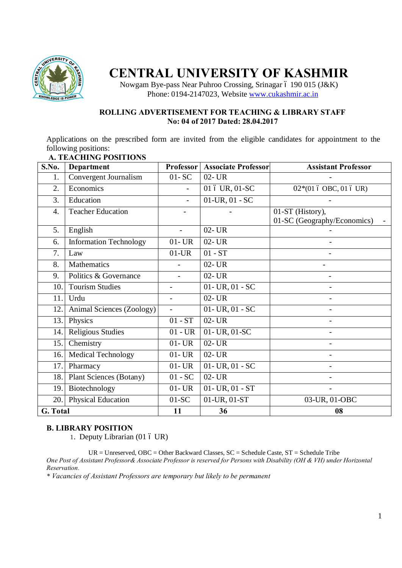

# **CENTRAL UNIVERSITY OF KASHMIR**

Nowgam Bye-pass Near Puhroo Crossing, Srinagar 6 190 015 (J&K) Phone: 0194-2147023, Website www.cukashmir.ac.in

## **ROLLING ADVERTISEMENT FOR TEACHING & LIBRARY STAFF No: 04 of 2017 Dated: 28.04.2017**

Applications on the prescribed form are invited from the eligible candidates for appointment to the following positions:

| S.No.            | Department                     | Professor                    | <b>Associate Professor</b> | <b>Assistant Professor</b>                      |
|------------------|--------------------------------|------------------------------|----------------------------|-------------------------------------------------|
| 1.               | Convergent Journalism          | $01 - SC$                    | 02- UR                     |                                                 |
| 2.               | Economics                      |                              | 01 ó UR, 01-SC             | 02*(01 ó OBC, 01 ó UR)                          |
| 3.               | Education                      | $\mathbf{r}$                 | $01$ -UR, $01 - SC$        |                                                 |
| $\overline{4}$ . | <b>Teacher Education</b>       | $\qquad \qquad \blacksquare$ |                            | 01-ST (History),<br>01-SC (Geography/Economics) |
| 5.               | English                        | $\blacksquare$               | $02 - UR$                  |                                                 |
| 6.               | <b>Information Technology</b>  | $01 - UR$                    | $02 - UR$                  |                                                 |
| 7.               | Law                            | $01$ -UR                     | $01 - ST$                  |                                                 |
| 8.               | Mathematics                    |                              | $02 - UR$                  |                                                 |
| 9.               | Politics & Governance          | $\overline{a}$               | 02- UR                     |                                                 |
| 10.              | <b>Tourism Studies</b>         | $\blacksquare$               | $01 - UR$ , $01 - SC$      |                                                 |
| 11.              | Urdu                           | $\overline{a}$               | $02 - UR$                  |                                                 |
| 12.              | Animal Sciences (Zoology)      |                              | $01 - UR$ , $01 - SC$      |                                                 |
| 13.              | Physics                        | $01 - ST$                    | $02 - UR$                  |                                                 |
| 14.              | <b>Religious Studies</b>       | $01 - UR$                    | 01- UR, 01-SC              |                                                 |
| 15.              | Chemistry                      | $01 - UR$                    | $02 - UR$                  |                                                 |
| 16.              | <b>Medical Technology</b>      | $01 - UR$                    | 02- UR                     |                                                 |
| 17.              | Pharmacy                       | $01 - UR$                    | $01 - UR$ , $01 - SC$      |                                                 |
| 18.              | <b>Plant Sciences (Botany)</b> | $01 - SC$                    | $02 - UR$                  |                                                 |
| 19.              | Biotechnology                  | $01 - UR$                    | $01 - UR$ , $01 - ST$      |                                                 |
| 20.              | <b>Physical Education</b>      | $01-SC$                      | 01-UR, 01-ST               | 03-UR, 01-OBC                                   |
| G. Total         |                                | 11                           | 36                         | 08                                              |

# **A. TEACHING POSITIONS**

# **B. LIBRARY POSITION**

1. Deputy Librarian (01 6 UR)

UR = Unreserved, OBC = Other Backward Classes, SC = Schedule Caste, ST = Schedule Tribe *One Post of Assistant Professor& Associate Professor is reserved for Persons with Disability (OH & VH) under Horizontal Reservation.*

*\* Vacancies of Assistant Professors are temporary but likely to be permanent*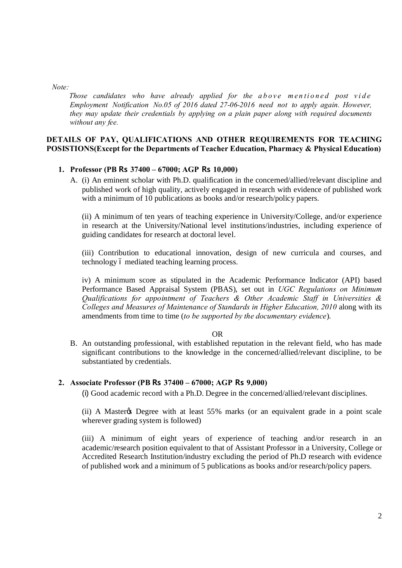*Note:*

*Those candidates who have already applied for the above mentioned post vide Employment Notification No.05 of 2016 dated 27-06-2016 need not to apply again. However, they may update their credentials by applying on a plain paper along with required documents without any fee.*

## **DETAILS OF PAY, QUALIFICATIONS AND OTHER REQUIREMENTS FOR TEACHING POSISTIONS(Except for the Departments of Teacher Education, Pharmacy & Physical Education)**

## **1. Professor (PB Rs 37400 – 67000; AGP Rs 10,000)**

A. (i) An eminent scholar with Ph.D. qualification in the concerned/allied/relevant discipline and published work of high quality, actively engaged in research with evidence of published work with a minimum of 10 publications as books and/or research/policy papers.

(ii) A minimum of ten years of teaching experience in University/College, and/or experience in research at the University/National level institutions/industries, including experience of guiding candidates for research at doctoral level.

(iii) Contribution to educational innovation, design of new curricula and courses, and technology 6 mediated teaching learning process.

iv) A minimum score as stipulated in the Academic Performance Indicator (API) based Performance Based Appraisal System (PBAS), set out in *UGC Regulations on Minimum Qualifications for appointment of Teachers & Other Academic Staff in Universities & Colleges and Measures of Maintenance of Standards in Higher Education, 2010* along with its amendments from time to time (*to be supported by the documentary evidence*).

#### OR

B. An outstanding professional, with established reputation in the relevant field, who has made significant contributions to the knowledge in the concerned/allied/relevant discipline, to be substantiated by credentials.

#### **2. Associate Professor (PB Rs 37400 – 67000; AGP Rs 9,000)**

(i) Good academic record with a Ph.D. Degree in the concerned/allied/relevant disciplines.

(ii) A Master to Degree with at least 55% marks (or an equivalent grade in a point scale wherever grading system is followed)

(iii) A minimum of eight years of experience of teaching and/or research in an academic/research position equivalent to that of Assistant Professor in a University, College or Accredited Research Institution/industry excluding the period of Ph.D research with evidence of published work and a minimum of 5 publications as books and/or research/policy papers.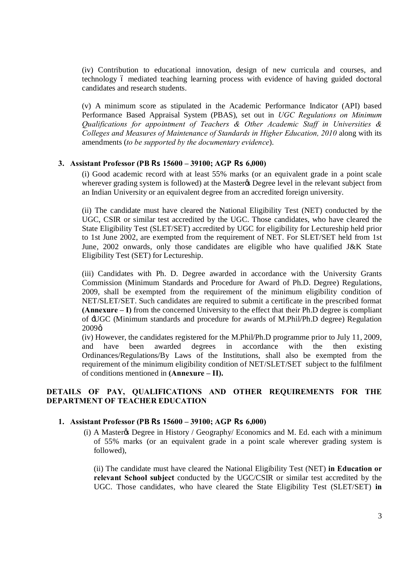(iv) Contribution to educational innovation, design of new curricula and courses, and technology 6 mediated teaching learning process with evidence of having guided doctoral candidates and research students.

(v) A minimum score as stipulated in the Academic Performance Indicator (API) based Performance Based Appraisal System (PBAS), set out in *UGC Regulations on Minimum Qualifications for appointment of Teachers & Other Academic Staff in Universities & Colleges and Measures of Maintenance of Standards in Higher Education, 2010* along with its amendments (*to be supported by the documentary evidence*).

## **3. Assistant Professor (PB Rs 15600 – 39100; AGP Rs 6,000)**

(i) Good academic record with at least 55% marks (or an equivalent grade in a point scale wherever grading system is followed) at the Master to Degree level in the relevant subject from an Indian University or an equivalent degree from an accredited foreign university.

(ii) The candidate must have cleared the National Eligibility Test (NET) conducted by the UGC, CSIR or similar test accredited by the UGC. Those candidates, who have cleared the State Eligibility Test (SLET/SET) accredited by UGC for eligibility for Lectureship held prior to 1st June 2002, are exempted from the requirement of NET. For SLET/SET held from 1st June, 2002 onwards, only those candidates are eligible who have qualified J&K State Eligibility Test (SET) for Lectureship.

(iii) Candidates with Ph. D. Degree awarded in accordance with the University Grants Commission (Minimum Standards and Procedure for Award of Ph.D. Degree) Regulations, 2009, shall be exempted from the requirement of the minimum eligibility condition of NET/SLET/SET. Such candidates are required to submit a certificate in the prescribed format **(Annexure – I)** from the concerned University to the effect that their Ph.D degree is compliant of 'UGC (Minimum standards and procedure for awards of M.Phil/Ph.D degree) Regulation  $2009\alpha$ 

(iv) However, the candidates registered for the M.Phil/Ph.D programme prior to July 11, 2009, and have been awarded degrees in accordance with the then existing Ordinances/Regulations/By Laws of the Institutions, shall also be exempted from the requirement of the minimum eligibility condition of NET/SLET/SET subject to the fulfilment of conditions mentioned in **(Annexure – II).**

## **DETAILS OF PAY, QUALIFICATIONS AND OTHER REQUIREMENTS FOR THE DEPARTMENT OF TEACHER EDUCATION**

### **1. Assistant Professor (PB Rs 15600 – 39100; AGP Rs 6,000)**

(i) A Master & Degree in History / Geography/ Economics and M. Ed. each with a minimum of 55% marks (or an equivalent grade in a point scale wherever grading system is followed),

(ii) The candidate must have cleared the National Eligibility Test (NET) **in Education or relevant School subject** conducted by the UGC/CSIR or similar test accredited by the UGC. Those candidates, who have cleared the State Eligibility Test (SLET/SET) **in**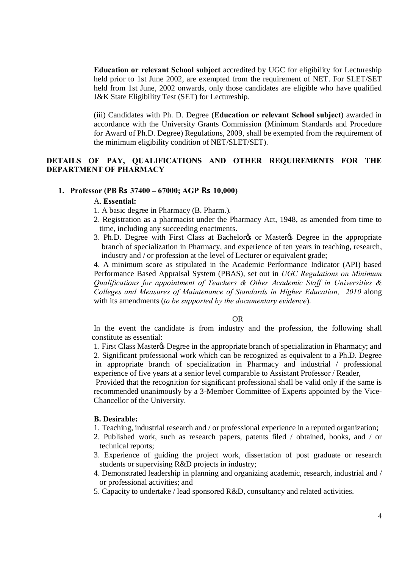**Education or relevant School subject** accredited by UGC for eligibility for Lectureship held prior to 1st June 2002, are exempted from the requirement of NET. For SLET/SET held from 1st June, 2002 onwards, only those candidates are eligible who have qualified J&K State Eligibility Test (SET) for Lectureship.

(iii) Candidates with Ph. D. Degree (**Education or relevant School subject**) awarded in accordance with the University Grants Commission (Minimum Standards and Procedure for Award of Ph.D. Degree) Regulations, 2009, shall be exempted from the requirement of the minimum eligibility condition of NET/SLET/SET).

## **DETAILS OF PAY, QUALIFICATIONS AND OTHER REQUIREMENTS FOR THE DEPARTMENT OF PHARMACY**

#### **1. Professor (PB Rs 37400 – 67000; AGP Rs 10,000)**

#### A. **Essential:**

- 1. A basic degree in Pharmacy (B. Pharm.).
- 2. Registration as a pharmacist under the Pharmacy Act, 1948, as amended from time to time, including any succeeding enactments.
- 3. Ph.D. Degree with First Class at Bachelor or Master (s) Degree in the appropriate branch of specialization in Pharmacy, and experience of ten years in teaching, research, industry and / or profession at the level of Lecturer or equivalent grade;

4. A minimum score as stipulated in the Academic Performance Indicator (API) based Performance Based Appraisal System (PBAS), set out in *UGC Regulations on Minimum Qualifications for appointment of Teachers & Other Academic Staff in Universities & Colleges and Measures of Maintenance of Standards in Higher Education, 2010* along with its amendments (*to be supported by the documentary evidence*).

#### OR

In the event the candidate is from industry and the profession, the following shall constitute as essential:

1. First Class Masterøs Degree in the appropriate branch of specialization in Pharmacy; and 2. Significant professional work which can be recognized as equivalent to a Ph.D. Degree in appropriate branch of specialization in Pharmacy and industrial / professional experience of five years at a senior level comparable to Assistant Professor / Reader,

Provided that the recognition for significant professional shall be valid only if the same is recommended unanimously by a 3-Member Committee of Experts appointed by the Vice- Chancellor of the University.

### **B. Desirable:**

- 1. Teaching, industrial research and / or professional experience in a reputed organization;
- 2. Published work, such as research papers, patents filed / obtained, books, and / or technical reports;
- 3. Experience of guiding the project work, dissertation of post graduate or research students or supervising R&D projects in industry;
- 4. Demonstrated leadership in planning and organizing academic, research, industrial and / or professional activities; and
- 5. Capacity to undertake / lead sponsored R&D, consultancy and related activities.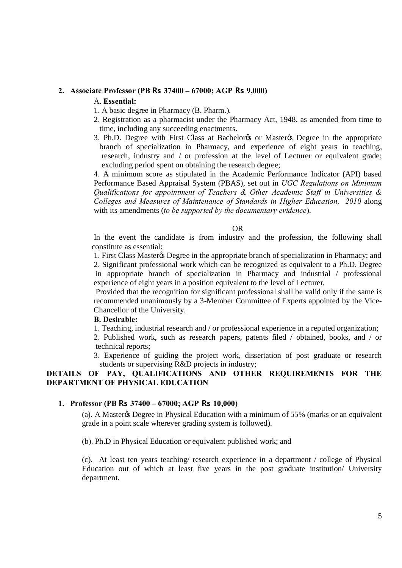## **2. Associate Professor (PB Rs 37400 – 67000; AGP Rs 9,000)**

#### A. **Essential:**

- 1. A basic degree in Pharmacy (B. Pharm.).
- 2. Registration as a pharmacist under the Pharmacy Act, 1948, as amended from time to time, including any succeeding enactments.
- 3. Ph.D. Degree with First Class at Bachelor's or Master's Degree in the appropriate branch of specialization in Pharmacy, and experience of eight years in teaching, research, industry and / or profession at the level of Lecturer or equivalent grade; excluding period spent on obtaining the research degree;

4. A minimum score as stipulated in the Academic Performance Indicator (API) based Performance Based Appraisal System (PBAS), set out in *UGC Regulations on Minimum Qualifications for appointment of Teachers & Other Academic Staff in Universities & Colleges and Measures of Maintenance of Standards in Higher Education, 2010* along with its amendments (*to be supported by the documentary evidence*).

#### OR

In the event the candidate is from industry and the profession, the following shall constitute as essential:

1. First Class Master & Degree in the appropriate branch of specialization in Pharmacy; and 2. Significant professional work which can be recognized as equivalent to a Ph.D. Degree in appropriate branch of specialization in Pharmacy and industrial / professional experience of eight years in a position equivalent to the level of Lecturer,

Provided that the recognition for significant professional shall be valid only if the same is recommended unanimously by a 3-Member Committee of Experts appointed by the Vice- Chancellor of the University.

## **B. Desirable:**

1. Teaching, industrial research and / or professional experience in a reputed organization;

2. Published work, such as research papers, patents filed / obtained, books, and / or technical reports;

3. Experience of guiding the project work, dissertation of post graduate or research students or supervising R&D projects in industry;

# **DETAILS OF PAY, QUALIFICATIONS AND OTHER REQUIREMENTS FOR THE DEPARTMENT OF PHYSICAL EDUCATION**

#### **1. Professor (PB Rs 37400 – 67000; AGP Rs 10,000)**

(a). A Master & Degree in Physical Education with a minimum of 55% (marks or an equivalent grade in a point scale wherever grading system is followed).

(b). Ph.D in Physical Education or equivalent published work; and

(c). At least ten years teaching/ research experience in a department / college of Physical Education out of which at least five years in the post graduate institution/ University department.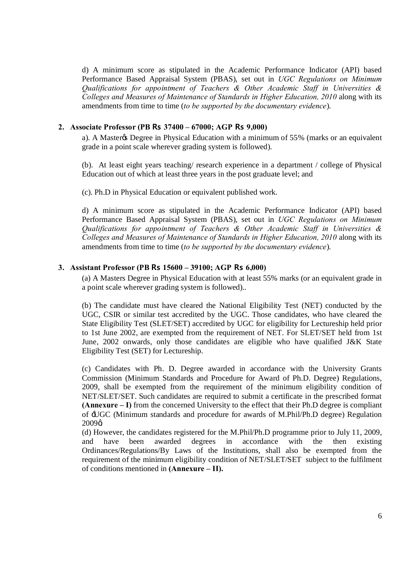d) A minimum score as stipulated in the Academic Performance Indicator (API) based Performance Based Appraisal System (PBAS), set out in *UGC Regulations on Minimum Qualifications for appointment of Teachers & Other Academic Staff in Universities & Colleges and Measures of Maintenance of Standards in Higher Education, 2010* along with its amendments from time to time (*to be supported by the documentary evidence*).

### **2. Associate Professor (PB Rs 37400 – 67000; AGP Rs 9,000)**

a). A Master & Degree in Physical Education with a minimum of 55% (marks or an equivalent grade in a point scale wherever grading system is followed).

(b). At least eight years teaching/ research experience in a department / college of Physical Education out of which at least three years in the post graduate level; and

(c). Ph.D in Physical Education or equivalent published work.

d) A minimum score as stipulated in the Academic Performance Indicator (API) based Performance Based Appraisal System (PBAS), set out in *UGC Regulations on Minimum Qualifications for appointment of Teachers & Other Academic Staff in Universities & Colleges and Measures of Maintenance of Standards in Higher Education, 2010* along with its amendments from time to time (*to be supported by the documentary evidence*).

## **3. Assistant Professor (PB Rs 15600 – 39100; AGP Rs 6,000)**

(a) A Masters Degree in Physical Education with at least 55% marks (or an equivalent grade in a point scale wherever grading system is followed)..

(b) The candidate must have cleared the National Eligibility Test (NET) conducted by the UGC, CSIR or similar test accredited by the UGC. Those candidates, who have cleared the State Eligibility Test (SLET/SET) accredited by UGC for eligibility for Lectureship held prior to 1st June 2002, are exempted from the requirement of NET. For SLET/SET held from 1st June, 2002 onwards, only those candidates are eligible who have qualified J&K State Eligibility Test (SET) for Lectureship.

(c) Candidates with Ph. D. Degree awarded in accordance with the University Grants Commission (Minimum Standards and Procedure for Award of Ph.D. Degree) Regulations, 2009, shall be exempted from the requirement of the minimum eligibility condition of NET/SLET/SET. Such candidates are required to submit a certificate in the prescribed format **(Annexure – I)** from the concerned University to the effect that their Ph.D degree is compliant of 'UGC (Minimum standards and procedure for awards of M.Phil/Ph.D degree) Regulation  $2009\alpha$ 

(d) However, the candidates registered for the M.Phil/Ph.D programme prior to July 11, 2009, and have been awarded degrees in accordance with the then existing Ordinances/Regulations/By Laws of the Institutions, shall also be exempted from the requirement of the minimum eligibility condition of NET/SLET/SET subject to the fulfilment of conditions mentioned in **(Annexure – II).**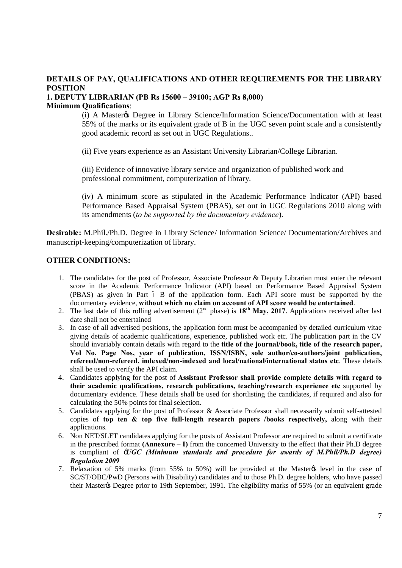# **DETAILS OF PAY, QUALIFICATIONS AND OTHER REQUIREMENTS FOR THE LIBRARY POSITION**

## **1. DEPUTY LIBRARIAN (PB Rs 15600 – 39100; AGP Rs 8,000) Minimum Qualifications**:

(i) A Master's Degree in Library Science/Information Science/Documentation with at least 55% of the marks or its equivalent grade of B in the UGC seven point scale and a consistently good academic record as set out in UGC Regulations..

(ii) Five years experience as an Assistant University Librarian/College Librarian.

(iii) Evidence of innovative library service and organization of published work and professional commitment, computerization of library.

(iv) A minimum score as stipulated in the Academic Performance Indicator (API) based Performance Based Appraisal System (PBAS), set out in UGC Regulations 2010 along with its amendments (*to be supported by the documentary evidence*).

**Desirable:** M.Phil./Ph.D. Degree in Library Science/ Information Science/ Documentation/Archives and manuscript-keeping/computerization of library.

## **OTHER CONDITIONS:**

- 1. The candidates for the post of Professor, Associate Professor & Deputy Librarian must enter the relevant score in the Academic Performance Indicator (API) based on Performance Based Appraisal System  $(PBAS)$  as given in Part 6 B of the application form. Each API score must be supported by the documentary evidence, **without which no claim on account of API score would be entertained**.
- 2. The last date of this rolling advertisement  $(2<sup>nd</sup> phase)$  is  $18<sup>th</sup>$  **May, 2017**. Applications received after last date shall not be entertained
- 3. In case of all advertised positions, the application form must be accompanied by detailed curriculum vitae giving details of academic qualifications, experience, published work etc. The publication part in the CV should invariably contain details with regard to the **title of the journal/book, title of the research paper, Vol No, Page Nos, year of publication, ISSN/ISBN, sole author/co-authors/joint publication, refereed/non-refereed, indexed/non-indexed and local/national/international status etc**. These details shall be used to verify the API claim.
- 4. Candidates applying for the post of **Assistant Professor shall provide complete details with regard to their academic qualifications, research publications, teaching/research experience etc** supported by documentary evidence. These details shall be used for shortlisting the candidates, if required and also for calculating the 50% points for final selection.
- 5. Candidates applying for the post of Professor & Associate Professor shall necessarily submit self-attested copies of **top ten & top five full-length research papers /books respectively,** along with their applications.
- 6. Non NET/SLET candidates applying for the posts of Assistant Professor are required to submit a certificate in the prescribed format **(Annexure – I)** from the concerned University to the effect that their Ph.D degree is compliant of '*UGC (Minimum standards and procedure for awards of M.Phil/Ph.D degree) Regulation 2009*
- 7. Relaxation of 5% marks (from 55% to 50%) will be provided at the Master's level in the case of SC/ST/OBC/PwD (Persons with Disability) candidates and to those Ph.D. degree holders, who have passed their Master & Degree prior to 19th September, 1991. The eligibility marks of 55% (or an equivalent grade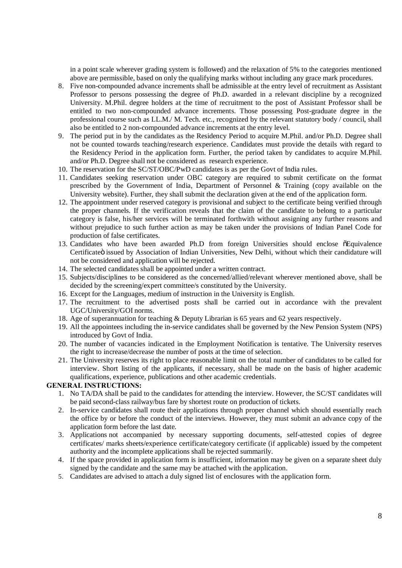in a point scale wherever grading system is followed) and the relaxation of 5% to the categories mentioned above are permissible, based on only the qualifying marks without including any grace mark procedures.

- 8. Five non-compounded advance increments shall be admissible at the entry level of recruitment as Assistant Professor to persons possessing the degree of Ph.D. awarded in a relevant discipline by a recognized University. M.Phil. degree holders at the time of recruitment to the post of Assistant Professor shall be entitled to two non-compounded advance increments. Those possessing Post-graduate degree in the professional course such as LL.M./ M. Tech. etc., recognized by the relevant statutory body / council, shall also be entitled to 2 non-compounded advance increments at the entry level.
- 9. The period put in by the candidates as the Residency Period to acquire M.Phil. and/or Ph.D. Degree shall not be counted towards teaching/research experience. Candidates must provide the details with regard to the Residency Period in the application form. Further, the period taken by candidates to acquire M.Phil. and/or Ph.D. Degree shall not be considered as research experience.
- 10. The reservation for the SC/ST/OBC/PwD candidates is as per the Govt of India rules.
- 11. Candidates seeking reservation under OBC category are required to submit certificate on the format prescribed by the Government of India, Department of Personnel & Training (copy available on the University website). Further, they shall submit the declaration given at the end of the application form.
- 12. The appointment under reserved category is provisional and subject to the certificate being verified through the proper channels. If the verification reveals that the claim of the candidate to belong to a particular category is false, his/her services will be terminated forthwith without assigning any further reasons and without prejudice to such further action as may be taken under the provisions of Indian Panel Code for production of false certificates.
- 13. Candidates who have been awarded Ph.D from foreign Universities should enclose  $\delta$ Equivalence Certificate o issued by Association of Indian Universities, New Delhi, without which their candidature will not be considered and application will be rejected.
- 14. The selected candidates shall be appointed under a written contract.
- 15. Subjects/disciplines to be considered as the concerned/allied/relevant wherever mentioned above, shall be decided by the screening/expert committee/s constituted by the University.
- 16. Except for the Languages, medium of instruction in the University is English.
- 17. The recruitment to the advertised posts shall be carried out in accordance with the prevalent UGC/University/GOI norms.
- 18. Age of superannuation for teaching & Deputy Librarian is 65 years and 62 years respectively.
- 19. All the appointees including the in-service candidates shall be governed by the New Pension System (NPS) introduced by Govt of India.
- 20. The number of vacancies indicated in the Employment Notification is tentative. The University reserves the right to increase/decrease the number of posts at the time of selection.
- 21. The University reserves its right to place reasonable limit on the total number of candidates to be called for interview. Short listing of the applicants, if necessary, shall be made on the basis of higher academic qualifications, experience, publications and other academic credentials.

#### **GENERAL INSTRUCTIONS:**

- 1. No TA/DA shall be paid to the candidates for attending the interview. However, the SC/ST candidates will be paid second-class railway/bus fare by shortest route on production of tickets.
- 2. In-service candidates shall route their applications through proper channel which should essentially reach the office by or before the conduct of the interviews. However, they must submit an advance copy of the application form before the last date.
- 3. Applications not accompanied by necessary supporting documents, self-attested copies of degree certificates/ marks sheets/experience certificate/category certificate (if applicable) issued by the competent authority and the incomplete applications shall be rejected summarily.
- 4. If the space provided in application form is insufficient, information may be given on a separate sheet duly signed by the candidate and the same may be attached with the application.
- 5. Candidates are advised to attach a duly signed list of enclosures with the application form.